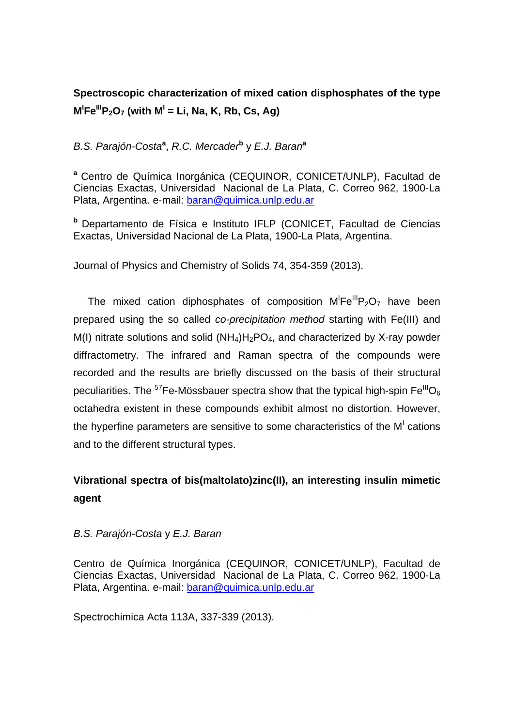# **Spectroscopic characterization of mixed cation disphosphates of the type**   $M^1$ Fe<sup>III</sup>P<sub>2</sub>O<sub>7</sub> (with  $M^1$  = Li, Na, K, Rb, Cs, Ag)

### *B.S. Parajón-Costa***<sup>a</sup>** , *R.C. Mercader***<sup>b</sup>** y *E.J. Baran***<sup>a</sup>**

**<sup>a</sup>**Centro de Química Inorgánica (CEQUINOR, CONICET/UNLP), Facultad de Ciencias Exactas, Universidad Nacional de La Plata, C. Correo 962, 1900-La Plata, Argentina. e-mail: baran@quimica.unlp.edu.ar

**b** Departamento de Física e Instituto IFLP (CONICET, Facultad de Ciencias Exactas, Universidad Nacional de La Plata, 1900-La Plata, Argentina.

Journal of Physics and Chemistry of Solids 74, 354-359 (2013).

The mixed cation diphosphates of composition  $M'Fe^{III}P_2O_7$  have been prepared using the so called *co-precipitation method* starting with Fe(III) and M(I) nitrate solutions and solid  $(NH_4)H_2PO_4$ , and characterized by X-ray powder diffractometry. The infrared and Raman spectra of the compounds were recorded and the results are briefly discussed on the basis of their structural peculiarities. The <sup>57</sup>Fe-Mössbauer spectra show that the typical high-spin Fe<sup>III</sup>O<sub>6</sub> octahedra existent in these compounds exhibit almost no distortion. However, the hyperfine parameters are sensitive to some characteristics of the  $M<sup>1</sup>$  cations and to the different structural types.

# **Vibrational spectra of bis(maltolato)zinc(II), an interesting insulin mimetic agent**

#### *B.S. Parajón-Costa* y *E.J. Baran*

Centro de Química Inorgánica (CEQUINOR, CONICET/UNLP), Facultad de Ciencias Exactas, Universidad Nacional de La Plata, C. Correo 962, 1900-La Plata, Argentina. e-mail: baran@quimica.unlp.edu.ar

Spectrochimica Acta 113A, 337-339 (2013).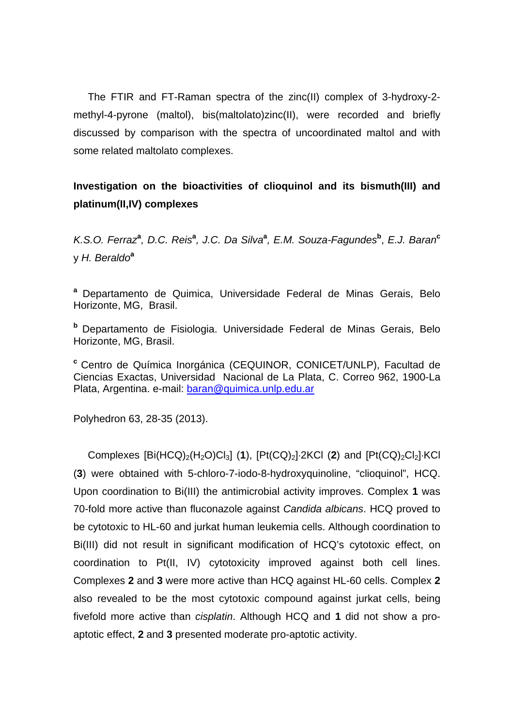The FTIR and FT-Raman spectra of the zinc(II) complex of 3-hydroxy-2 methyl-4-pyrone (maltol), bis(maltolato)zinc(II), were recorded and briefly discussed by comparison with the spectra of uncoordinated maltol and with some related maltolato complexes.

## **Investigation on the bioactivities of clioquinol and its bismuth(III) and platinum(II,IV) complexes**

*K.S.O. Ferraz***<sup>a</sup>** *, D.C. Reis***<sup>a</sup>** *, J.C. Da Silva***<sup>a</sup>** *, E.M. Souza-Fagundes***<sup>b</sup>** , *E.J. Baran***<sup>c</sup>** y *H. Beraldo***<sup>a</sup>**

a Departamento de Quimica, Universidade Federal de Minas Gerais, Belo Horizonte, MG, Brasil.

**<sup>b</sup>**Departamento de Fisiologia. Universidade Federal de Minas Gerais, Belo Horizonte, MG, Brasil.

<sup>c</sup> Centro de Química Inorgánica (CEQUINOR, CONICET/UNLP), Facultad de Ciencias Exactas, Universidad Nacional de La Plata, C. Correo 962, 1900-La Plata, Argentina. e-mail: baran@quimica.unlp.edu.ar

Polyhedron 63, 28-35 (2013).

Complexes  $[Bi(HCQ)_2(H_2O)Cl_3]$  (1),  $[Pt(CQ)_2]$  2KCl (2) and  $[Pt(CQ)_2Cl_2]$  KCl (**3**) were obtained with 5-chloro-7-iodo-8-hydroxyquinoline, "clioquinol", HCQ. Upon coordination to Bi(III) the antimicrobial activity improves. Complex **1** was 70-fold more active than fluconazole against *Candida albicans*. HCQ proved to be cytotoxic to HL-60 and jurkat human leukemia cells. Although coordination to Bi(III) did not result in significant modification of HCQ's cytotoxic effect, on coordination to Pt(II, IV) cytotoxicity improved against both cell lines. Complexes **2** and **3** were more active than HCQ against HL-60 cells. Complex **2** also revealed to be the most cytotoxic compound against jurkat cells, being fivefold more active than *cisplatin*. Although HCQ and **1** did not show a proaptotic effect, **2** and **3** presented moderate pro-aptotic activity.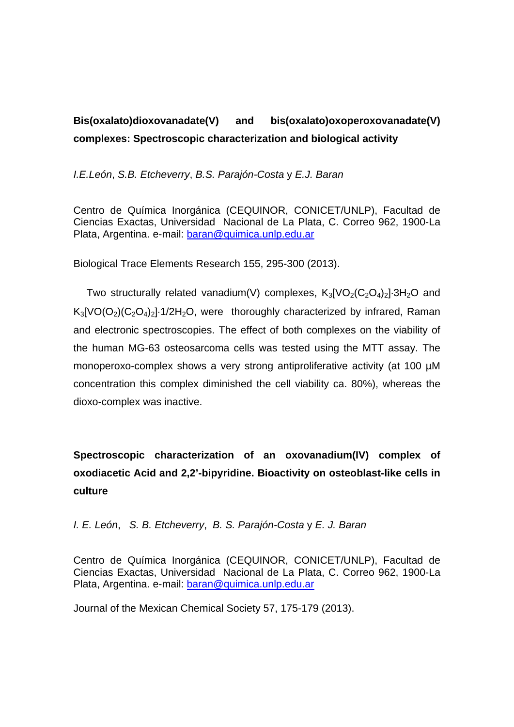# **Bis(oxalato)dioxovanadate(V) and bis(oxalato)oxoperoxovanadate(V) complexes: Spectroscopic characterization and biological activity**

*I.E.León*, *S.B. Etcheverry*, *B.S. Parajón-Costa* y *E.J. Baran*

Centro de Química Inorgánica (CEQUINOR, CONICET/UNLP), Facultad de Ciencias Exactas, Universidad Nacional de La Plata, C. Correo 962, 1900-La Plata, Argentina. e-mail: baran@quimica.unlp.edu.ar

Biological Trace Elements Research 155, 295-300 (2013).

Two structurally related vanadium(V) complexes,  $K_3[VO_2(C_2O_4)_2]$  3H<sub>2</sub>O and  $K_3[VO(O_2)(C_2O_4)_2]$  1/2H<sub>2</sub>O, were thoroughly characterized by infrared, Raman and electronic spectroscopies. The effect of both complexes on the viability of the human MG-63 osteosarcoma cells was tested using the MTT assay. The monoperoxo-complex shows a very strong antiproliferative activity (at 100 µM concentration this complex diminished the cell viability ca. 80%), whereas the dioxo-complex was inactive.

**Spectroscopic characterization of an oxovanadium(IV) complex of oxodiacetic Acid and 2,2'-bipyridine. Bioactivity on osteoblast-like cells in culture** 

*I. E. León*, *S. B. Etcheverry*, *B. S. Parajón-Costa* y *E. J. Baran* 

Centro de Química Inorgánica (CEQUINOR, CONICET/UNLP), Facultad de Ciencias Exactas, Universidad Nacional de La Plata, C. Correo 962, 1900-La Plata, Argentina. e-mail: baran@quimica.unlp.edu.ar

Journal of the Mexican Chemical Society 57, 175-179 (2013).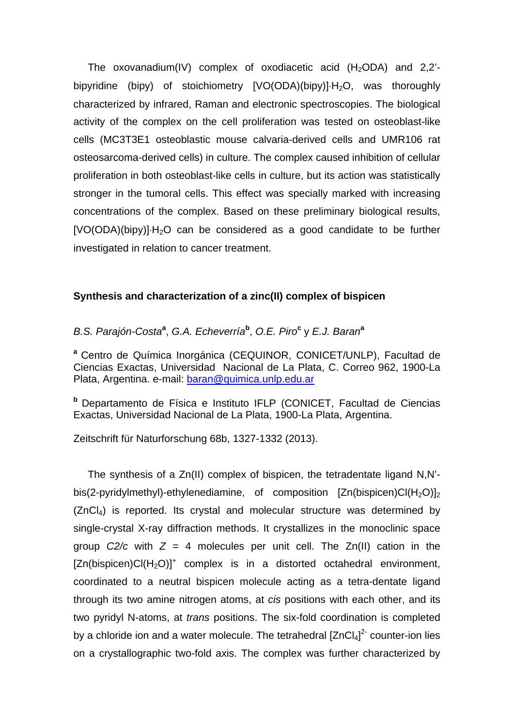The oxovanadium(IV) complex of oxodiacetic acid (H<sub>2</sub>ODA) and 2,2<sup>'</sup>bipyridine (bipy) of stoichiometry  $[VO(ODA)(bipy)] \cdot H_2O$ , was thoroughly characterized by infrared, Raman and electronic spectroscopies. The biological activity of the complex on the cell proliferation was tested on osteoblast-like cells (MC3T3E1 osteoblastic mouse calvaria-derived cells and UMR106 rat osteosarcoma-derived cells) in culture. The complex caused inhibition of cellular proliferation in both osteoblast-like cells in culture, but its action was statistically stronger in the tumoral cells. This effect was specially marked with increasing concentrations of the complex. Based on these preliminary biological results, [VO(ODA)(bipy)]·H<sub>2</sub>O can be considered as a good candidate to be further investigated in relation to cancer treatment.

#### **Synthesis and characterization of a zinc(II) complex of bispicen**

#### *B.S. Parajón-Costa***<sup>a</sup>** , *G.A. Echeverría***<sup>b</sup>** , *O.E. Piro***<sup>c</sup>** y *E.J. Baran***<sup>a</sup>**

<sup>a</sup> Centro de Química Inorgánica (CEQUINOR, CONICET/UNLP), Facultad de Ciencias Exactas, Universidad Nacional de La Plata, C. Correo 962, 1900-La Plata, Argentina. e-mail: baran@quimica.unlp.edu.ar

**b** Departamento de Física e Instituto IFLP (CONICET, Facultad de Ciencias Exactas, Universidad Nacional de La Plata, 1900-La Plata, Argentina.

Zeitschrift für Naturforschung 68b, 1327-1332 (2013).

 The synthesis of a Zn(II) complex of bispicen, the tetradentate ligand N,N' bis(2-pyridylmethyl)-ethylenediamine, of composition  $[Zn(bispicen)Cl(H_2O)]_2$ (ZnCl4) is reported. Its crystal and molecular structure was determined by single-crystal X-ray diffraction methods. It crystallizes in the monoclinic space group  $C2/c$  with  $Z = 4$  molecules per unit cell. The  $Zn(II)$  cation in the  $[Zn(bispicen)Cl(H<sub>2</sub>O)]<sup>+</sup> complex is in a distorted octahedral environment,$ coordinated to a neutral bispicen molecule acting as a tetra-dentate ligand through its two amine nitrogen atoms, at *cis* positions with each other, and its two pyridyl N-atoms, at *trans* positions. The six-fold coordination is completed by a chloride ion and a water molecule. The tetrahedral  $[ZnCl<sub>4</sub>]<sup>2</sup>$  counter-ion lies on a crystallographic two-fold axis. The complex was further characterized by